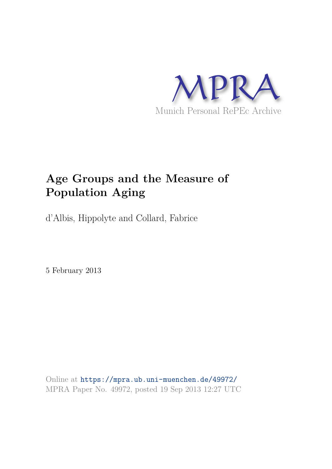

# **Age Groups and the Measure of Population Aging**

d'Albis, Hippolyte and Collard, Fabrice

5 February 2013

Online at https://mpra.ub.uni-muenchen.de/49972/ MPRA Paper No. 49972, posted 19 Sep 2013 12:27 UTC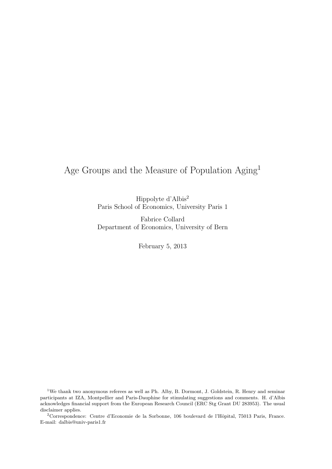## Age Groups and the Measure of Population Aging<sup>1</sup>

Hippolyte d'Albis<sup>2</sup> Paris School of Economics, University Paris 1

Fabrice Collard Department of Economics, University of Bern

February 5, 2013

<sup>1</sup>We thank two anonymous referees as well as Ph. Alby, B. Dormont, J. Goldstein, R. Henry and seminar participants at IZA, Montpellier and Paris-Dauphine for stimulating suggestions and comments. H. d'Albis acknowledges financial support from the European Research Council (ERC Stg Grant DU 283953). The usual disclaimer applies.

<sup>2</sup>Correspondence: Centre d'Economie de la Sorbonne, 106 boulevard de l'Hôpital, 75013 Paris, France. E-mail: dalbis@univ-paris1.fr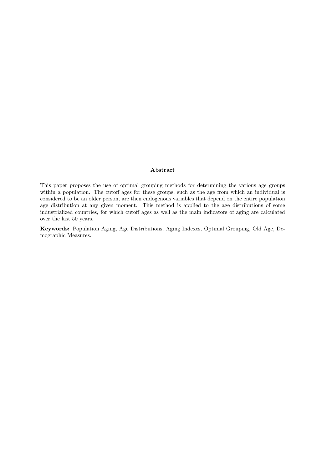#### Abstract

This paper proposes the use of optimal grouping methods for determining the various age groups within a population. The cutoff ages for these groups, such as the age from which an individual is considered to be an older person, are then endogenous variables that depend on the entire population age distribution at any given moment. This method is applied to the age distributions of some industrialized countries, for which cutoff ages as well as the main indicators of aging are calculated over the last 50 years.

Keywords: Population Aging, Age Distributions, Aging Indexes, Optimal Grouping, Old Age, Demographic Measures.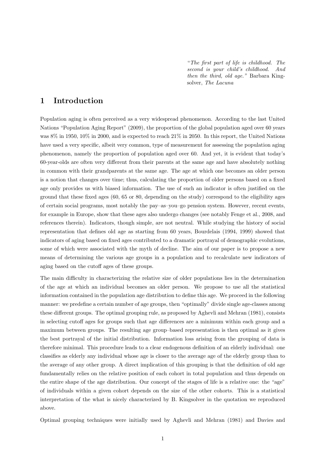"*The first part of life is childhood. The second is your child's childhood. And then the third, old age."* Barbara Kingsolver, *The Lacuna*

## 1 Introduction

Population aging is often perceived as a very widespread phenomenon. According to the last United Nations "Population Aging Report" (2009), the proportion of the global population aged over 60 years was 8% in 1950, 10% in 2000, and is expected to reach 21% in 2050. In this report, the United Nations have used a very specific, albeit very common, type of measurement for assessing the population aging phenomenon, namely the proportion of population aged over 60. And yet, it is evident that today's 60-year-olds are often very different from their parents at the same age and have absolutely nothing in common with their grandparents at the same age. The age at which one becomes an older person is a notion that changes over time; thus, calculating the proportion of older persons based on a fixed age only provides us with biased information. The use of such an indicator is often justified on the ground that these fixed ages (60, 65 or 80, depending on the study) correspond to the eligibility ages of certain social programs, most notably the pay–as–you–go pension system. However, recent events, for example in Europe, show that these ages also undergo changes (see notably Fenge et al., 2008, and references therein). Indicators, though simple, are not neutral. While studying the history of social representation that defines old age as starting from 60 years, Bourdelais (1994, 1999) showed that indicators of aging based on fixed ages contributed to a dramatic portrayal of demographic evolutions, some of which were associated with the myth of decline. The aim of our paper is to propose a new means of determining the various age groups in a population and to recalculate new indicators of aging based on the cutoff ages of these groups.

The main difficulty in characterizing the relative size of older populations lies in the determination of the age at which an individual becomes an older person. We propose to use all the statistical information contained in the population age distribution to define this age. We proceed in the following manner: we predefine a certain number of age groups, then "optimally" divide single age-classes among these different groups. The optimal grouping rule, as proposed by Aghevli and Mehran (1981), consists in selecting cutoff ages for groups such that age differences are a minimum within each group and a maximum between groups. The resulting age group–based representation is then optimal as it gives the best portrayal of the initial distribution. Information loss arising from the grouping of data is therefore minimal. This procedure leads to a clear endogenous definition of an elderly individual: one classifies as elderly any individual whose age is closer to the average age of the elderly group than to the average of any other group. A direct implication of this grouping is that the definition of old age fundamentally relies on the relative position of each cohort in total population and thus depends on the entire shape of the age distribution. Our concept of the stages of life is a relative one: the "age" of individuals within a given cohort depends on the size of the other cohorts. This is a statistical interpretation of the what is nicely characterized by B. Kingsolver in the quotation we reproduced above.

Optimal grouping techniques were initially used by Aghevli and Mehran (1981) and Davies and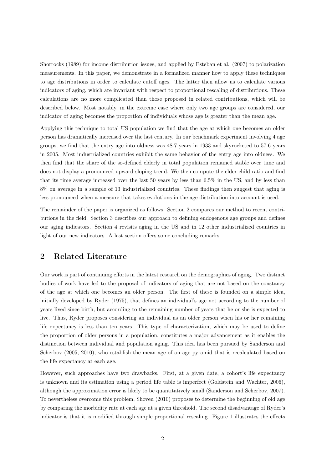Shorrocks (1989) for income distribution issues, and applied by Esteban et al. (2007) to polarization measurements. In this paper, we demonstrate in a formalized manner how to apply these techniques to age distributions in order to calculate cutoff ages. The latter then allow us to calculate various indicators of aging, which are invariant with respect to proportional rescaling of distributions. These calculations are no more complicated than those proposed in related contributions, which will be described below. Most notably, in the extreme case where only two age groups are considered, our indicator of aging becomes the proportion of individuals whose age is greater than the mean age.

Applying this technique to total US population we find that the age at which one becomes an older person has dramatically increased over the last century. In our benchmark experiment involving 4 age groups, we find that the entry age into oldness was 48.7 years in 1933 and skyrocketed to 57.6 years in 2005. Most industrialized countries exhibit the same behavior of the entry age into oldness. We then find that the share of the so-defined elderly in total population remained stable over time and does not display a pronounced upward sloping trend. We then compute the elder-child ratio and find that its time average increased over the last 50 years by less than 6.5% in the US, and by less than 8% on average in a sample of 13 industrialized countries. These findings then suggest that aging is less pronounced when a measure that takes evolutions in the age distribution into account is used.

The remainder of the paper is organized as follows. Section 2 compares our method to recent contributions in the field. Section 3 describes our approach to defining endogenous age groups and defines our aging indicators. Section 4 revisits aging in the US and in 12 other industrialized countries in light of our new indicators. A last section offers some concluding remarks.

## 2 Related Literature

Our work is part of continuing efforts in the latest research on the demographics of aging. Two distinct bodies of work have led to the proposal of indicators of aging that are not based on the constancy of the age at which one becomes an older person. The first of these is founded on a simple idea, initially developed by Ryder (1975), that defines an individual's age not according to the number of years lived since birth, but according to the remaining number of years that he or she is expected to live. Thus, Ryder proposes considering an individual as an older person when his or her remaining life expectancy is less than ten years. This type of characterization, which may be used to define the proportion of older persons in a population, constitutes a major advancement as it enables the distinction between individual and population aging. This idea has been pursued by Sanderson and Scherbov (2005, 2010), who establish the mean age of an age pyramid that is recalculated based on the life expectancy at each age.

However, such approaches have two drawbacks. First, at a given date, a cohort's life expectancy is unknown and its estimation using a period life table is imperfect (Goldstein and Wachter, 2006), although the approximation error is likely to be quantitatively small (Sanderson and Scherbov, 2007). To nevertheless overcome this problem, Shoven (2010) proposes to determine the beginning of old age by comparing the morbidity rate at each age at a given threshold. The second disadvantage of Ryder's indicator is that it is modified through simple proportional rescaling. Figure 1 illustrates the effects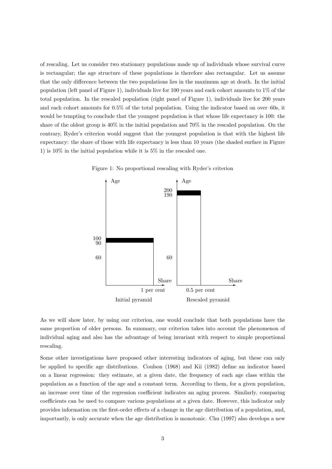of rescaling. Let us consider two stationary populations made up of individuals whose survival curve is rectangular; the age structure of these populations is therefore also rectangular. Let us assume that the only difference between the two populations lies in the maximum age at death. In the initial population (left panel of Figure 1), individuals live for 100 years and each cohort amounts to  $1\%$  of the total population. In the rescaled population (right panel of Figure 1), individuals live for 200 years and each cohort amounts for 0.5% of the total population. Using the indicator based on over–60s, it would be tempting to conclude that the youngest population is that whose life expectancy is 100: the share of the oldest group is 40% in the initial population and 70% in the rescaled population. On the contrary, Ryder's criterion would suggest that the youngest population is that with the highest life expectancy: the share of those with life expectancy is less than 10 years (the shaded surface in Figure 1) is 10% in the initial population while it is 5% in the rescaled one.



Figure 1: No proportional rescaling with Ryder's criterion

As we will show later, by using our criterion, one would conclude that both populations have the same proportion of older persons. In summary, our criterion takes into account the phenomenon of individual aging and also has the advantage of being invariant with respect to simple proportional rescaling.

Some other investigations have proposed other interesting indicators of aging, but these can only be applied to specific age distributions. Coulson (1968) and Kii (1982) define an indicator based on a linear regression: they estimate, at a given date, the frequency of each age class within the population as a function of the age and a constant term. According to them, for a given population, an increase over time of the regression coefficient indicates an aging process. Similarly, comparing coefficients can be used to compare various populations at a given date. However, this indicator only provides information on the first-order effects of a change in the age distribution of a population, and, importantly, is only accurate when the age distribution is monotonic. Chu (1997) also develops a new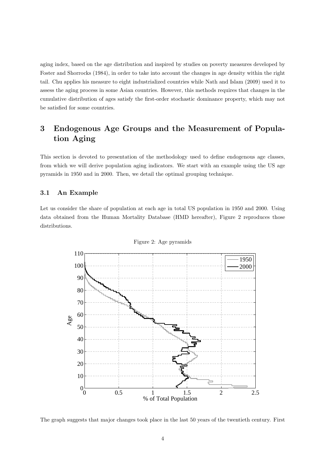aging index, based on the age distribution and inspired by studies on poverty measures developed by Foster and Shorrocks (1984), in order to take into account the changes in age density within the right tail. Chu applies his measure to eight industrialized countries while Nath and Islam (2009) used it to assess the aging process in some Asian countries. However, this methods requires that changes in the cumulative distribution of ages satisfy the first-order stochastic dominance property, which may not be satisfied for some countries.

## 3 Endogenous Age Groups and the Measurement of Population Aging

This section is devoted to presentation of the methodology used to define endogenous age classes, from which we will derive population aging indicators. We start with an example using the US age pyramids in 1950 and in 2000. Then, we detail the optimal grouping technique.

#### 3.1 An Example

Let us consider the share of population at each age in total US population in 1950 and 2000. Using data obtained from the Human Mortality Database (HMD hereafter), Figure 2 reproduces those distributions.





The graph suggests that major changes took place in the last 50 years of the twentieth century. First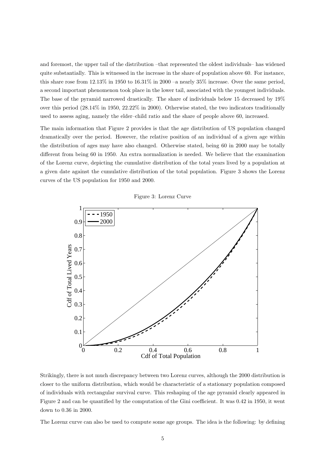and foremost, the upper tail of the distribution –that represented the oldest individuals– has widened quite substantially. This is witnessed in the increase in the share of population above 60. For instance, this share rose from 12.13% in 1950 to 16.31% in 2000 –a nearly 35% increase. Over the same period, a second important phenomenon took place in the lower tail, associated with the youngest individuals. The base of the pyramid narrowed drastically. The share of individuals below 15 decreased by 19% over this period (28.14% in 1950, 22.22% in 2000). Otherwise stated, the two indicators traditionally used to assess aging, namely the elder–child ratio and the share of people above 60, increased.

The main information that Figure 2 provides is that the age distribution of US population changed dramatically over the period. However, the relative position of an individual of a given age within the distribution of ages may have also changed. Otherwise stated, being 60 in 2000 may be totally different from being 60 in 1950. An extra normalization is needed. We believe that the examination of the Lorenz curve, depicting the cumulative distribution of the total years lived by a population at a given date against the cumulative distribution of the total population. Figure 3 shows the Lorenz curves of the US population for 1950 and 2000.



Figure 3: Lorenz Curve

Strikingly, there is not much discrepancy between two Lorenz curves, although the 2000 distribution is closer to the uniform distribution, which would be characteristic of a stationary population composed of individuals with rectangular survival curve. This reshaping of the age pyramid clearly appeared in Figure 2 and can be quantified by the computation of the Gini coefficient. It was 0.42 in 1950, it went down to 0.36 in 2000.

The Lorenz curve can also be used to compute some age groups. The idea is the following: by defining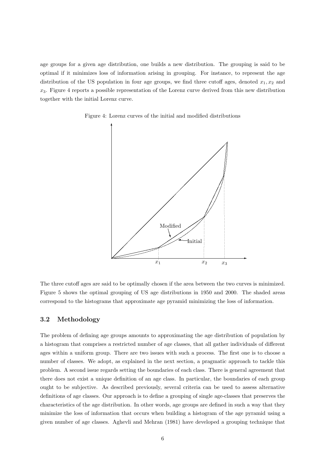age groups for a given age distribution, one builds a new distribution. The grouping is said to be optimal if it minimizes loss of information arising in grouping. For instance, to represent the age distribution of the US population in four age groups, we find three cutoff ages, denoted  $x_1, x_2$  and  $x_3$ . Figure 4 reports a possible representation of the Lorenz curve derived from this new distribution together with the initial Lorenz curve.



Figure 4: Lorenz curves of the initial and modified distributions

The three cutoff ages are said to be optimally chosen if the area between the two curves is minimized. Figure 5 shows the optimal grouping of US age distributions in 1950 and 2000. The shaded areas correspond to the histograms that approximate age pyramid minimizing the loss of information.

#### 3.2 Methodology

The problem of defining age groups amounts to approximating the age distribution of population by a histogram that comprises a restricted number of age classes, that all gather individuals of different ages within a uniform group. There are two issues with such a process. The first one is to choose a number of classes. We adopt, as explained in the next section, a pragmatic approach to tackle this problem. A second issue regards setting the boundaries of each class. There is general agreement that there does not exist a unique definition of an age class. In particular, the boundaries of each group ought to be subjective. As described previously, several criteria can be used to assess alternative definitions of age classes. Our approach is to define a grouping of single age-classes that preserves the characteristics of the age distribution. In other words, age groups are defined in such a way that they minimize the loss of information that occurs when building a histogram of the age pyramid using a given number of age classes. Aghevli and Mehran (1981) have developed a grouping technique that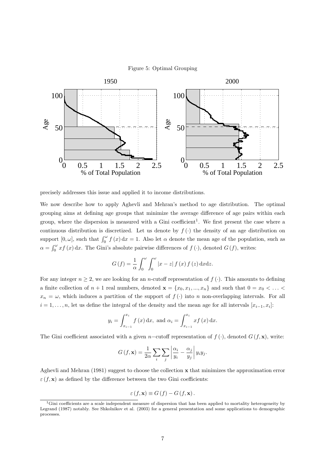



precisely addresses this issue and applied it to income distributions.

We now describe how to apply Aghevli and Mehran's method to age distribution. The optimal grouping aims at defining age groups that minimize the average difference of age pairs within each group, where the dispersion is measured with a Gini coefficient<sup>1</sup>. We first present the case where a continuous distribution is discretized. Let us denote by  $f(\cdot)$  the density of an age distribution on support  $[0, \omega]$ , such that  $\int_0^{\omega} f(x) dx = 1$ . Also let  $\alpha$  denote the mean age of the population, such as  $\alpha = \int_0^{\omega} x f(x) dx$ . The Gini's absolute pairwise differences of  $f(\cdot)$ , denoted  $G(f)$ , writes:

$$
G(f) = \frac{1}{\alpha} \int_0^{\omega} \int_0^{\omega} |x - z| f(x) f(z) dx dz.
$$

For any integer  $n \geq 2$ , we are looking for an *n*-cutoff representation of  $f(\cdot)$ . This amounts to defining a finite collection of  $n + 1$  real numbers, denoted  $\mathbf{x} = \{x_0, x_1, ..., x_n\}$  and such that  $0 = x_0 < ... <$  $x_n = \omega$ , which induces a partition of the support of  $f(\cdot)$  into n non-overlapping intervals. For all  $i = 1, \ldots, n$ , let us define the integral of the density and the mean age for all intervals  $[x_{i-1}, x_i]$ :

$$
y_i = \int_{x_{i-1}}^{x_i} f(x) dx
$$
, and  $\alpha_i = \int_{x_{i-1}}^{x_i} x f(x) dx$ .

The Gini coefficient associated with a given n–cutoff representation of  $f(\cdot)$ , denoted  $G(f, \mathbf{x})$ , write:

$$
G(f, \mathbf{x}) = \frac{1}{2\alpha} \sum_{i} \sum_{j} \left| \frac{\alpha_i}{y_i} - \frac{\alpha_j}{y_j} \right| y_i y_j.
$$

Aghevli and Mehran (1981) suggest to choose the collection x that minimizes the approximation error  $\varepsilon$  (f, x) as defined by the difference between the two Gini coefficients:

$$
\varepsilon(f, \mathbf{x}) \equiv G(f) - G(f, \mathbf{x}).
$$

 $1$ Gini coefficients are a scale independent measure of dispersion that has been applied to mortality heterogeneity by Legrand (1987) notably. See Shkolnikov et al. (2003) for a general presentation and some applications to demographic processes.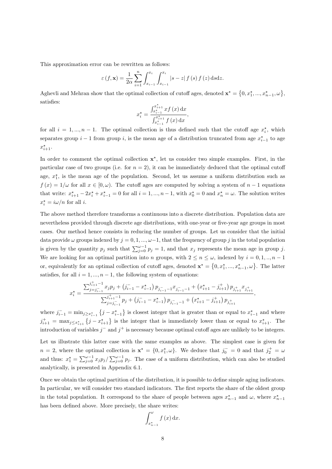This approximation error can be rewritten as follows:

$$
\varepsilon(f, \mathbf{x}) = \frac{1}{2\alpha} \sum_{i=1}^{n} \int_{x_{i-1}}^{x_i} \int_{x_{i-1}}^{x_i} |s - z| f(s) f(z) ds dz.
$$

Aghevli and Mehran show that the optimal collection of cutoff ages, denoted  $\mathbf{x}^* = \{0, x_1^*, ..., x_{n-1}^*, \omega\}$ , satisfies:

$$
x_i^* = \frac{\int_{x_{i-1}^*}^{x_{i+1}^*} x f(x) dx}{\int_{x_{i-1}^*}^{x_{i+1}^*} f(x) dx},
$$

for all  $i = 1, ..., n - 1$ . The optimal collection is thus defined such that the cutoff age  $x_i^*$ , which separates group  $i-1$  from group i, is the mean age of a distribution truncated from age  $x_{i-1}^*$  to age  $x_{i+1}^*$ .

In order to comment the optimal collection  $x^*$ , let us consider two simple examples. First, in the particular case of two groups (i.e. for  $n = 2$ ), it can be immediately deduced that the optimal cutoff age,  $x_1^*$ , is the mean age of the population. Second, let us assume a uniform distribution such as  $f(x) = 1/\omega$  for all  $x \in [0, \omega)$ . The cutoff ages are computed by solving a system of  $n-1$  equations that write:  $x_{i+1}^* - 2x_i^* + x_{i-1}^* = 0$  for all  $i = 1, ..., n-1$ , with  $x_0^* = 0$  and  $x_n^* = \omega$ . The solution writes  $x_i^* = i\omega/n$  for all *i*.

The above method therefore transforms a continuous into a discrete distribution. Population data are nevertheless provided through discrete age distributions, with one-year or five-year age groups in most cases. Our method hence consists in reducing the number of groups. Let us consider that the initial data provide  $\omega$  groups indexed by  $j = 0, 1, ..., \omega-1$ , that the frequency of group j in the total population is given by the quantity  $p_j$  such that  $\sum_{j=0}^{\omega-1} p_j = 1$ , and that  $x_j$  represents the mean age in group j. We are looking for an optimal partition into n groups, with  $2 \le n \le \omega$ , indexed by  $i = 0, 1, ..., n - 1$ or, equivalently for an optimal collection of cutoff ages, denoted  $\mathbf{x}^* = \{0, x_1^*, ..., x_{n-1}^*, \omega\}$ . The latter satisfies, for all  $i = 1, ..., n - 1$ , the following system of equations:

$$
x_i^{\star} = \frac{\sum_{j=j_{i-1}}^{j_{i+1}^+ - 1} x_j p_j + (j_{i-1}^- - x_{i-1}^{\star}) p_{j_{i-1}^- - 1} x_{j_{i-1}^- - 1} + (x_{i+1}^{\star} - j_{i+1}^+) p_{j_{i+1}^+} x_{j_{i+1}^+}}{\sum_{j=j_{i-1}^-}^{j_{i+1}^+ - 1} p_j + (j_{i-1}^- - x_{i-1}^{\star}) p_{j_{i-1}^- - 1} + (x_{i+1}^{\star} - j_{i+1}^+) p_{j_{i+1}^+}}
$$

,

where  $j_{i-1}^- = \min_{j \geq x_{i-1}^*} \{j - x_{i-1}^* \}$  is closest integer that is greater than or equal to  $x_{i-1}^*$  and where  $j_{i+1}^+ = \max_{j \leq x_{i+1}^*} \{j - x_{i+1}^* \}$  is the integer that is immediately lower than or equal to  $x_{i+1}^*$ . The introduction of variables  $j^-$  and  $j^+$  is necessary because optimal cutoff ages are unlikely to be integers.

Let us illustrate this latter case with the same examples as above. The simplest case is given for  $n = 2$ , where the optimal collection is  $\mathbf{x}^* = \{0, x_1^*, \omega\}$ . We deduce that  $j_0^- = 0$  and that  $j_2^+ = \omega$ and thus:  $x_1^* = \sum_{j=0}^{\omega-1} x_j p_j / \sum_{j=0}^{\omega-1} p_j$ . The case of a uniform distribution, which can also be studied analytically, is presented in Appendix 6.1.

Once we obtain the optimal partition of the distribution, it is possible to define simple aging indicators. In particular, we will consider two standard indicators. The first reports the share of the oldest group in the total population. It correspond to the share of people between ages  $x_{n-1}^*$  and  $\omega$ , where  $x_{n-1}^*$ has been defined above. More precisely, the share writes:

$$
\int_{x_{n-1}^{*}}^{\omega} f(x) \, \mathrm{d}x.
$$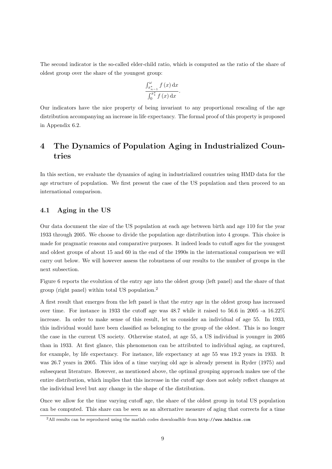The second indicator is the so-called elder-child ratio, which is computed as the ratio of the share of oldest group over the share of the youngest group:

$$
\frac{\int_{x_{n-1}^{*}}^{\omega} f(x) dx}{\int_{0}^{x_{1}^{*}} f(x) dx}.
$$

Our indicators have the nice property of being invariant to any proportional rescaling of the age distribution accompanying an increase in life expectancy. The formal proof of this property is proposed in Appendix 6.2.

## 4 The Dynamics of Population Aging in Industrialized Countries

In this section, we evaluate the dynamics of aging in industrialized countries using HMD data for the age structure of population. We first present the case of the US population and then proceed to an international comparison.

#### 4.1 Aging in the US

Our data document the size of the US population at each age between birth and age 110 for the year 1933 through 2005. We choose to divide the population age distribution into 4 groups. This choice is made for pragmatic reasons and comparative purposes. It indeed leads to cutoff ages for the youngest and oldest groups of about 15 and 60 in the end of the 1990s in the international comparison we will carry out below. We will however assess the robustness of our results to the number of groups in the next subsection.

Figure 6 reports the evolution of the entry age into the oldest group (left panel) and the share of that group (right panel) within total US population.<sup>2</sup>

A first result that emerges from the left panel is that the entry age in the oldest group has increased over time. For instance in 1933 the cutoff age was 48.7 while it raised to 56.6 in 2005 -a 16.22% increase. In order to make sense of this result, let us consider an individual of age 55. In 1933, this individual would have been classified as belonging to the group of the oldest. This is no longer the case in the current US society. Otherwise stated, at age 55, a US individual is younger in 2005 than in 1933. At first glance, this phenomenon can be attributed to individual aging, as captured, for example, by life expectancy. For instance, life expectancy at age 55 was 19.2 years in 1933. It was 26.7 years in 2005. This idea of a time varying old age is already present in Ryder (1975) and subsequent literature. However, as mentioned above, the optimal grouping approach makes use of the entire distribution, which implies that this increase in the cutoff age does not solely reflect changes at the individual level but any change in the shape of the distribution.

Once we allow for the time varying cutoff age, the share of the oldest group in total US population can be computed. This share can be seen as an alternative measure of aging that corrects for a time

<sup>2</sup>All results can be reproduced using the matlab codes downloadble from http://www.hdalbis.com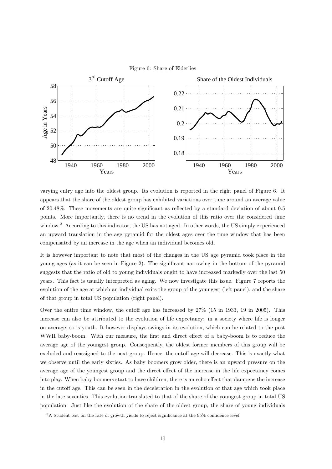



varying entry age into the oldest group. Its evolution is reported in the right panel of Figure 6. It appears that the share of the oldest group has exhibited variations over time around an average value of 20.48%. These movements are quite significant as reflected by a standard deviation of about 0.5 points. More importantly, there is no trend in the evolution of this ratio over the considered time window.<sup>3</sup> According to this indicator, the US has not aged. In other words, the US simply experienced an upward translation in the age pyramid for the oldest ages over the time window that has been compensated by an increase in the age when an individual becomes old.

It is however important to note that most of the changes in the US age pyramid took place in the young ages (as it can be seen in Figure 2). The significant narrowing in the bottom of the pyramid suggests that the ratio of old to young individuals ought to have increased markedly over the last 50 years. This fact is usually interpreted as aging. We now investigate this issue. Figure 7 reports the evolution of the age at which an individual exits the group of the youngest (left panel), and the share of that group in total US population (right panel).

Over the entire time window, the cutoff age has increased by 27% (15 in 1933, 19 in 2005). This increase can also be attributed to the evolution of life expectancy: in a society where life is longer on average, so is youth. It however displays swings in its evolution, which can be related to the post WWII baby-boom. With our measure, the first and direct effect of a baby-boom is to reduce the average age of the youngest group. Consequently, the oldest former members of this group will be excluded and reassigned to the next group. Hence, the cutoff age will decrease. This is exactly what we observe until the early sixties. As baby boomers grow older, there is an upward pressure on the average age of the youngest group and the direct effect of the increase in the life expectancy comes into play. When baby boomers start to have children, there is an echo effect that dampens the increase in the cutoff age. This can be seen in the deceleration in the evolution of that age which took place in the late seventies. This evolution translated to that of the share of the youngest group in total US population. Just like the evolution of the share of the oldest group, the share of young individuals

<sup>&</sup>lt;sup>3</sup>A Student test on the rate of growth yields to reject significance at the 95% confidence level.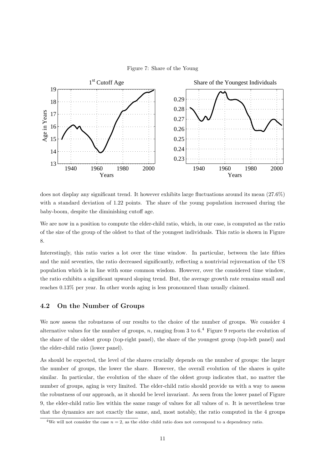



does not display any significant trend. It however exhibits large fluctuations around its mean (27.6%) with a standard deviation of 1.22 points. The share of the young population increased during the baby-boom, despite the diminishing cutoff age.

We are now in a position to compute the elder-child ratio, which, in our case, is computed as the ratio of the size of the group of the oldest to that of the youngest individuals. This ratio is shown in Figure 8.

Interestingly, this ratio varies a lot over the time window. In particular, between the late fifties and the mid seventies, the ratio decreased significantly, reflecting a nontrivial rejuvenation of the US population which is in line with some common wisdom. However, over the considered time window, the ratio exhibits a significant upward sloping trend. But, the average growth rate remains small and reaches 0.13% per year. In other words aging is less pronounced than usually claimed.

#### 4.2 On the Number of Groups

We now assess the robustness of our results to the choice of the number of groups. We consider 4 alternative values for the number of groups, n, ranging from 3 to  $6<sup>4</sup>$  Figure 9 reports the evolution of the share of the oldest group (top-right panel), the share of the youngest group (top-left panel) and the elder-child ratio (lower panel).

As should be expected, the level of the shares crucially depends on the number of groups: the larger the number of groups, the lower the share. However, the overall evolution of the shares is quite similar. In particular, the evolution of the share of the oldest group indicates that, no matter the number of groups, aging is very limited. The elder-child ratio should provide us with a way to assess the robustness of our approach, as it should be level invariant. As seen from the lower panel of Figure 9, the elder-child ratio lies within the same range of values for all values of  $n$ . It is nevertheless true that the dynamics are not exactly the same, and, most notably, the ratio computed in the 4 groups

<sup>&</sup>lt;sup>4</sup>We will not consider the case  $n = 2$ , as the elder-child ratio does not correspond to a dependency ratio.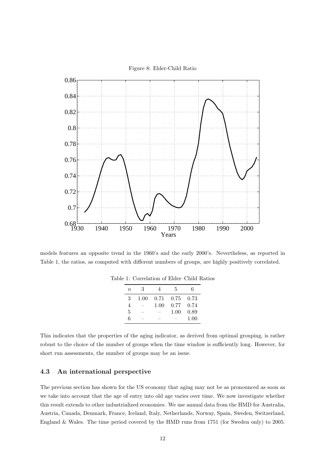

models features an opposite trend in the 1960's and the early 2000's. Nevertheless, as reported in Table 1, the ratios, as computed with different numbers of groups, are highly positively correlated.

| $\eta$ | 3    |      | 5    | 6    |
|--------|------|------|------|------|
| 3      | 1.00 | 0.71 | 0.75 | 0.73 |
| 4      |      | 1.00 | 0.77 | 0.74 |
| 5      | --   |      | 1.00 | 0.89 |
| 6      |      | _    |      | 1.00 |

Table 1: Correlation of Elder–Child Ratios

This indicates that the properties of the aging indicator, as derived from optimal grouping, is rather robust to the choice of the number of groups when the time window is sufficiently long. However, for short run assessments, the number of groups may be an issue.

#### 4.3 An international perspective

The previous section has shown for the US economy that aging may not be as pronounced as soon as we take into account that the age of entry into old age varies over time. We now investigate whether this result extends to other industrialized economies. We use annual data from the HMD for Australia, Austria, Canada, Denmark, France, Iceland, Italy, Netherlands, Norway, Spain, Sweden, Switzerland, England & Wales. The time period covered by the HMD runs from 1751 (for Sweden only) to 2005.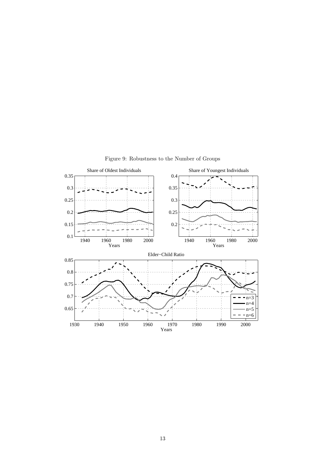

Figure 9: Robustness to the Number of Groups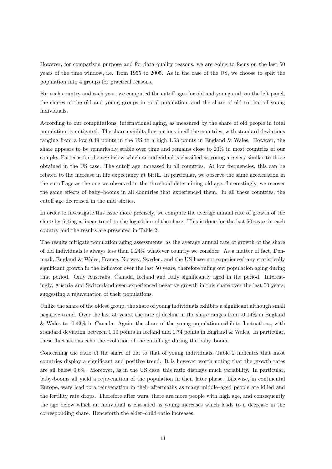However, for comparison purpose and for data quality reasons, we are going to focus on the last 50 years of the time window, i.e. from 1955 to 2005. As in the case of the US, we choose to split the population into 4 groups for practical reasons.

For each country and each year, we computed the cutoff ages for old and young and, on the left panel, the shares of the old and young groups in total population, and the share of old to that of young individuals.

According to our computations, international aging, as measured by the share of old people in total population, is mitigated. The share exhibits fluctuations in all the countries, with standard deviations ranging from a low 0.49 points in the US to a high 1.63 points in England & Wales. However, the share appears to be remarkably stable over time and remains close to 20% in most countries of our sample. Patterns for the age below which an individual is classified as young are very similar to those obtained in the US case. The cutoff age increased in all countries. At low frequencies, this can be related to the increase in life expectancy at birth. In particular, we observe the same acceleration in the cutoff age as the one we observed in the threshold determining old age. Interestingly, we recover the same effects of baby–booms in all countries that experienced them. In all these countries, the cutoff age decreased in the mid–sixties.

In order to investigate this issue more precisely, we compute the average annual rate of growth of the share by fitting a linear trend to the logarithm of the share. This is done for the last 50 years in each country and the results are presented in Table 2.

The results mitigate population aging assessments, as the average annual rate of growth of the share of old individuals is always less than 0.24% whatever country we consider. As a matter of fact, Denmark, England & Wales, France, Norway, Sweden, and the US have not experienced any statistically significant growth in the indicator over the last 50 years, therefore ruling out population aging during that period. Only Australia, Canada, Iceland and Italy significantly aged in the period. Interestingly, Austria and Switzerland even experienced negative growth in this share over the last 50 years, suggesting a rejuvenation of their populations.

Unlike the share of the oldest group, the share of young individuals exhibits a significant although small negative trend. Over the last 50 years, the rate of decline in the share ranges from -0.14% in England & Wales to -0.43% in Canada. Again, the share of the young population exhibits fluctuations, with standard deviation between 1.10 points in Iceland and 1.74 points in England & Wales. In particular, these fluctuations echo the evolution of the cutoff age during the baby–boom.

Concerning the ratio of the share of old to that of young individuals, Table 2 indicates that most countries display a significant and positive trend. It is however worth noting that the growth rates are all below 0.6%. Moreover, as in the US case, this ratio displays much variability. In particular, baby-booms all yield a rejuvenation of the population in their later phase. Likewise, in continental Europe, wars lead to a rejuvenation in their aftermaths as many middle–aged people are killed and the fertility rate drops. Therefore after wars, there are more people with high age, and consequently the age below which an individual is classified as young increases which leads to a decrease in the corresponding share. Henceforth the elder–child ratio increases.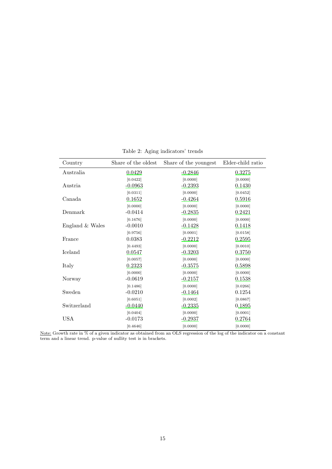| Country         | Share of the oldest | Share of the youngest | Elder-child ratio |
|-----------------|---------------------|-----------------------|-------------------|
| Australia       | 0.0429              | $-0.2846$             | 0.3275            |
|                 | [0.0422]            | [0.0000]              | [0.0000]          |
| Austria         | $-0.0963$           | $-0.2393$             | 0.1430            |
|                 | [0.0311]            | [0.0000]              | [0.0452]          |
| Canada          | 0.1652              | $-0.4264$             | 0.5916            |
|                 | [0.0000]            | [0.0000]              | [0.0000]          |
| Denmark         | $-0.0414$           | $-0.2835$             | 0.2421            |
|                 | [0.1676]            | [0.0000]              | [0.0000]          |
| England & Wales | $-0.0010$           | $-0.1428$             | 0.1418            |
|                 | [0.9756]            | [0.0001]              | [0.0158]          |
| France          | 0.0383              | $-0.2212$             | 0.2595            |
|                 | [0.4493]            | [0.0000]              | [0.0010]          |
| Iceland         | 0.0547              | $-0.3203$             | 0.3750            |
|                 | [0.0057]            | [0.0000]              | [0.0000]          |
| Italy           | 0.2323              | $-0.3575$             | 0.5898            |
|                 | [0.0000]            | [0.0000]              | [0.0000]          |
| Norway          | $-0.0619$           | $-0.2157$             | 0.1538            |
|                 | [0.1486]            | [0.0000]              | [0.0266]          |
| Sweden          | $-0.0210$           | $-0.1464$             | 0.1254            |
|                 | [0.6051]            | [0.0002]              | [0.0867]          |
| Switzerland     | <u>-0.0440</u>      | $-0.2335$             | 0.1895            |
|                 | [0.0404]            | [0.0000]              | [0.0001]          |
| USA             | $-0.0173$           | $-0.2937$             | 0.2764            |
|                 | [0.4646]            | [0.0000]              | [0.0000]          |

Table 2: Aging indicators' trends

Note: Growth rate in % of a given indicator as obtained from an OLS regression of the log of the indicator on a constant term and a linear trend. p-value of nullity test is in brackets.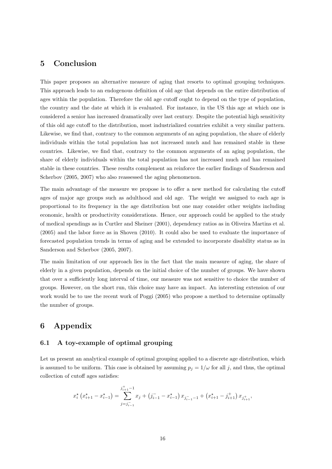## 5 Conclusion

This paper proposes an alternative measure of aging that resorts to optimal grouping techniques. This approach leads to an endogenous definition of old age that depends on the entire distribution of ages within the population. Therefore the old age cutoff ought to depend on the type of population, the country and the date at which it is evaluated. For instance, in the US this age at which one is considered a senior has increased dramatically over last century. Despite the potential high sensitivity of this old age cutoff to the distribution, most industrialized countries exhibit a very similar pattern. Likewise, we find that, contrary to the common arguments of an aging population, the share of elderly individuals within the total population has not increased much and has remained stable in these countries. Likewise, we find that, contrary to the common arguments of an aging population, the share of elderly individuals within the total population has not increased much and has remained stable in these countries. These results complement an reinforce the earlier findings of Sanderson and Scherbov (2005, 2007) who also reassessed the aging phenomenon.

The main advantage of the measure we propose is to offer a new method for calculating the cutoff ages of major age groups such as adulthood and old age. The weight we assigned to each age is proportional to its frequency in the age distribution but one may consider other weights including economic, health or productivity considerations. Hence, our approach could be applied to the study of medical spendings as in Curtler and Sheiner (2001), dependency ratios as in Oliveira Martins et al. (2005) and the labor force as in Shoven (2010). It could also be used to evaluate the importance of forecasted population trends in terms of aging and be extended to incorporate disability status as in Sanderson and Scherbov (2005, 2007).

The main limitation of our approach lies in the fact that the main measure of aging, the share of elderly in a given population, depends on the initial choice of the number of groups. We have shown that over a sufficiently long interval of time, our measure was not sensitive to choice the number of groups. However, on the short run, this choice may have an impact. An interesting extension of our work would be to use the recent work of Poggi (2005) who propose a method to determine optimally the number of groups.

## 6 Appendix

#### 6.1 A toy-example of optimal grouping

Let us present an analytical example of optimal grouping applied to a discrete age distribution, which is assumed to be uniform. This case is obtained by assuming  $p_j = 1/\omega$  for all j, and thus, the optimal collection of cutoff ages satisfies:

$$
x_i^{\star} (x_{i+1}^{\star} - x_{i-1}^{\star}) = \sum_{j=j_{i-1}}^{j_{i+1}^+ - 1} x_j + (j_{i-1}^- - x_{i-1}^{\star}) x_{j_{i-1}^- - 1} + (x_{i+1}^{\star} - j_{i+1}^+) x_{j_{i+1}^+},
$$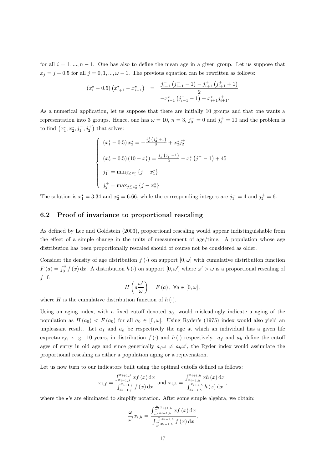for all  $i = 1, ..., n - 1$ . One has also to define the mean age in a given group. Let us suppose that  $x_j = j + 0.5$  for all  $j = 0, 1, ..., \omega - 1$ . The previous equation can be rewritten as follows:

$$
(x_i^* - 0.5) (x_{i+1}^* - x_{i-1}^*) = \frac{j_{i-1}^-(j_{i-1}^- - 1) - j_{i+1}^+(j_{i+1}^+ + 1)}{2}
$$

$$
-x_{i-1}^* (j_{i-1}^- - 1) + x_{i+1}^* j_{i+1}^+.
$$

As a numerical application, let us suppose that there are initially 10 groups and that one wants a representation into 3 groups. Hence, one has  $\omega = 10$ ,  $n = 3$ ,  $j_0^- = 0$  and  $j_3^+ = 10$  and the problem is to find  $(x_1^{\star}, x_2^{\star}, j_1^-, j_2^+)$  that solves:

$$
\begin{cases}\n\left(x_1^* - 0.5\right)x_2^* = -\frac{j_2^+\left(j_2^+ + 1\right)}{2} + x_2^* j_2^+ \\
\left(x_2^* - 0.5\right)(10 - x_1^*) = \frac{j_1^-\left(j_1^- - 1\right)}{2} - x_1^*\left(j_1^- - 1\right) + 45 \\
j_1^- = \min_{j \ge x_1^*} \{j - x_1^*\} \\
j_2^+ = \max_{j \le x_2^*} \{j - x_2^*\}\n\end{cases}
$$

The solution is  $x_1^* = 3.34$  and  $x_2^* = 6.66$ , while the corresponding integers are  $j_1^- = 4$  and  $j_2^+ = 6$ .

#### 6.2 Proof of invariance to proportional rescaling

As defined by Lee and Goldstein (2003), proportional rescaling would appear indistinguishable from the effect of a simple change in the units of measurement of age/time. A population whose age distribution has been proportionally rescaled should of course not be considered as older.

Consider the density of age distribution  $f(.)$  on support  $[0, \omega]$  with cumulative distribution function  $F(a) = \int_0^a f(x) dx$ . A distribution  $h(\cdot)$  on support  $[0, \omega']$  where  $\omega' > \omega$  is a proportional rescaling of f if:

$$
H\left(a\frac{\omega'}{\omega}\right) = F\left(a\right), \ \forall a \in [0, \omega],
$$

where H is the cumulative distribution function of  $h(\cdot)$ .

Using an aging index, with a fixed cutoff denoted  $a<sub>0</sub>$ , would misleadingly indicate a aging of the population as  $H(a_0) < F(a_0)$  for all  $a_0 \in [0, \omega]$ . Using Ryder's (1975) index would also yield an unpleasant result. Let  $a_f$  and  $a_h$  be respectively the age at which an individual has a given life expectancy, e. g. 10 years, in distribution  $f(\cdot)$  and  $h(\cdot)$  respectively.  $a_f$  and  $a_h$  define the cutoff ages of entry in old age and since generically  $a_f \omega \neq a_h \omega'$ , the Ryder index would assimilate the proportional rescaling as either a population aging or a rejuvenation.

Let us now turn to our indicators built using the optimal cutoffs defined as follows:

$$
x_{i,f} = \frac{\int_{x_{i-1,f}}^{x_{i+1,f}} x f(x) dx}{\int_{x_{i-1,f}}^{x_{i+1,f}} f(x) dx} \text{ and } x_{i,h} = \frac{\int_{x_{i-1,h}}^{x_{i+1,h}} x h(x) dx}{\int_{x_{i-1,h}}^{x_{i+1,h}} h(x) dx},
$$

where the  $\star$ 's are eliminated to simplify notation. After some simple algebra, we obtain:

$$
\frac{\omega}{\omega'}x_{i,h} = \frac{\int_{\frac{\omega}{\omega'}x_{i-1,h}}^{\frac{\omega}{\omega'}x_{i-1,h}} xf(x) dx}{\int_{\frac{\omega}{\omega'}x_{i-1,h}}^{\frac{\omega}{\omega'}x_{i+1,h}} f(x) dx},
$$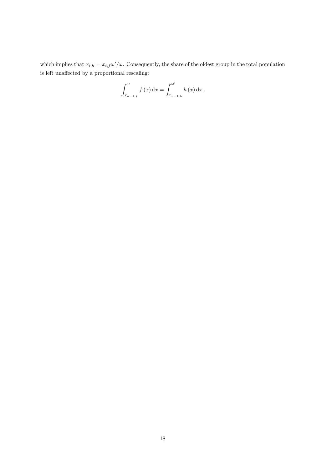which implies that  $x_{i,h} = x_{i,f} \omega'/\omega$ . Consequently, the share of the oldest group in the total population is left unaffected by a proportional rescaling:

$$
\int_{x_{n-1,f}}^{\omega} f(x) dx = \int_{x_{n-1,h}}^{\omega'} h(x) dx.
$$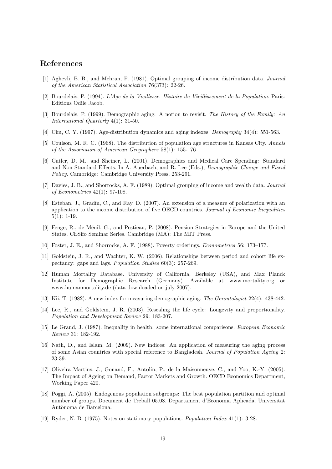## References

- [1] Aghevli, B. B., and Mehran, F. (1981). Optimal grouping of income distribution data. *Journal of the American Statistical Association* 76(373): 22-26.
- [2] Bourdelais, P. (1994). *L'Age de la Vieillesse. Histoire du Vieillissement de la Population*. Paris: Editions Odile Jacob.
- [3] Bourdelais, P. (1999). Demographic aging: A notion to revisit. *The History of the Family: An International Quarterly* 4(1): 31-50.
- [4] Chu, C. Y. (1997). Age-distribution dynamics and aging indexes. *Demography* 34(4): 551-563.
- [5] Coulson, M. R. C. (1968). The distribution of population age structures in Kansas City. *Annals of the Association of American Geographers* 58(1): 155-176.
- [6] Cutler, D. M., and Sheiner, L. (2001). Demographics and Medical Care Spending: Standard and Non Standard Effects. In A. Auerbach, and R. Lee (Eds.), *Demographic Change and Fiscal Policy.* Cambridge: Cambridge University Press, 253-291.
- [7] Davies, J. B., and Shorrocks, A. F. (1989). Optimal grouping of income and wealth data. *Journal of Econometrics* 42(1): 97-108.
- [8] Esteban, J., Gradín, C., and Ray, D. (2007). An extension of a measure of polarization with an application to the income distribution of five OECD countries. *Journal of Economic Inequalities*  $5(1): 1-19.$
- [9] Fenge, R., de M´enil, G., and Pestieau, P. (2008). Pension Strategies in Europe and the United States. CESifo Seminar Series. Cambridge (MA): The MIT Press.
- [10] Foster, J. E., and Shorrocks, A. F. (1988). Poverty orderings. *Econometrica* 56: 173–177.
- [11] Goldstein, J. R., and Wachter, K. W. (2006). Relationships between period and cohort life expectancy: gaps and lags. *Population Studies* 60(3): 257-269.
- [12] Human Mortality Database. University of California, Berkeley (USA), and Max Planck Institute for Demographic Research (Germany). Available at www.mortality.org www.humanmortality.de (data downloaded on july 2007).
- [13] Kii, T. (1982). A new index for measuring demographic aging. *The Gerontologist* 22(4): 438-442.
- [14] Lee, R., and Goldstein, J. R. (2003). Rescaling the life cycle: Longevity and proportionality. *Population and Development Review* 29: 183-207.
- [15] Le Grand, J. (1987). Inequality in health: some international comparisons. *European Economic Review* 31: 182-192.
- [16] Nath, D., and Islam, M. (2009). New indices: An application of measuring the aging process of some Asian countries with special reference to Bangladesh. *Journal of Population Ageing* 2: 23-39.
- [17] Oliveira Martins, J., Gonand, F., Antolín, P., de la Maisonneuve, C., and Yoo, K.-Y. (2005). The Impact of Ageing on Demand, Factor Markets and Growth. OECD Economics Department, Working Paper 420.
- [18] Poggi, A. (2005). Endogenous population subgroups: The best population partition and optimal number of groups. Document de Treball 05.08. Departament d'Economia Aplicada. Universitat Autònoma de Barcelona.
- [19] Ryder, N. B. (1975). Notes on stationary populations. *Population Index* 41(1): 3-28.